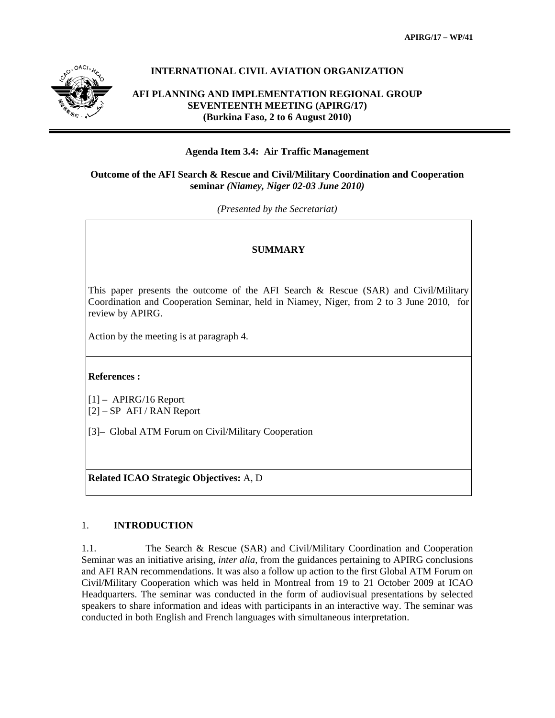

# **INTERNATIONAL CIVIL AVIATION ORGANIZATION**

**AFI PLANNING AND IMPLEMENTATION REGIONAL GROUP SEVENTEENTH MEETING (APIRG/17) (Burkina Faso, 2 to 6 August 2010)** 

# **Agenda Item 3.4: Air Traffic Management**

# **Outcome of the AFI Search & Rescue and Civil/Military Coordination and Cooperation seminar** *(Niamey, Niger 02-03 June 2010)*

*(Presented by the Secretariat)* 

# **SUMMARY**

This paper presents the outcome of the AFI Search & Rescue (SAR) and Civil/Military Coordination and Cooperation Seminar, held in Niamey, Niger, from 2 to 3 June 2010, for review by APIRG.

Action by the meeting is at paragraph 4.

# **References :**

[1] – APIRG/16 Report [2] – SP AFI / RAN Report

[3]– Global ATM Forum on Civil/Military Cooperation

**Related ICAO Strategic Objectives:** A, D

# 1. **INTRODUCTION**

1.1. The Search & Rescue (SAR) and Civil/Military Coordination and Cooperation Seminar was an initiative arising, *inter alia*, from the guidances pertaining to APIRG conclusions and AFI RAN recommendations. It was also a follow up action to the first Global ATM Forum on Civil/Military Cooperation which was held in Montreal from 19 to 21 October 2009 at ICAO Headquarters. The seminar was conducted in the form of audiovisual presentations by selected speakers to share information and ideas with participants in an interactive way. The seminar was conducted in both English and French languages with simultaneous interpretation.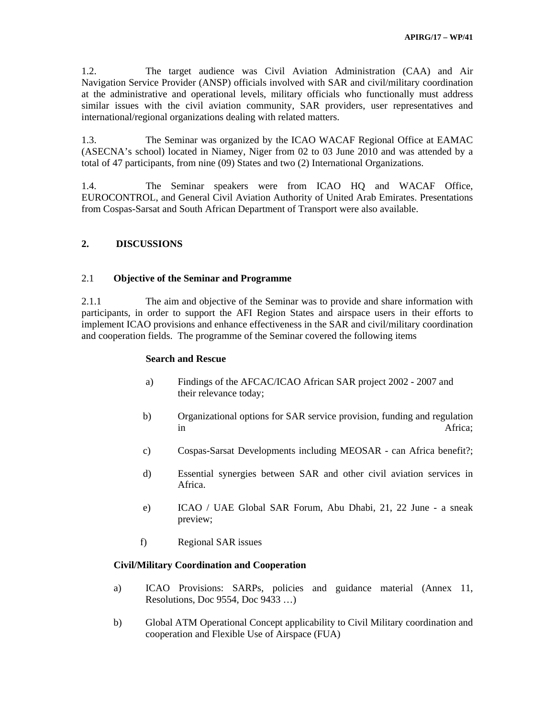1.2. The target audience was Civil Aviation Administration (CAA) and Air Navigation Service Provider (ANSP) officials involved with SAR and civil/military coordination at the administrative and operational levels, military officials who functionally must address similar issues with the civil aviation community, SAR providers, user representatives and international/regional organizations dealing with related matters.

1.3. The Seminar was organized by the ICAO WACAF Regional Office at EAMAC (ASECNA's school) located in Niamey, Niger from 02 to 03 June 2010 and was attended by a total of 47 participants, from nine (09) States and two (2) International Organizations.

1.4. The Seminar speakers were from ICAO HQ and WACAF Office, EUROCONTROL, and General Civil Aviation Authority of United Arab Emirates. Presentations from Cospas-Sarsat and South African Department of Transport were also available.

# **2. DISCUSSIONS**

# 2.1 **Objective of the Seminar and Programme**

2.1.1 The aim and objective of the Seminar was to provide and share information with participants, in order to support the AFI Region States and airspace users in their efforts to implement ICAO provisions and enhance effectiveness in the SAR and civil/military coordination and cooperation fields. The programme of the Seminar covered the following items

### **Search and Rescue**

- a) Findings of the AFCAC/ICAO African SAR project 2002 2007 and their relevance today;
- b) Organizational options for SAR service provision, funding and regulation in Africa;
- c) Cospas-Sarsat Developments including MEOSAR can Africa benefit?;
- d) Essential synergies between SAR and other civil aviation services in Africa.
- e) ICAO / UAE Global SAR Forum, Abu Dhabi, 21, 22 June a sneak preview;
- f) Regional SAR issues

# **Civil/Military Coordination and Cooperation**

- a) ICAO Provisions: SARPs, policies and guidance material (Annex 11, Resolutions, Doc 9554, Doc 9433 …)
- b) Global ATM Operational Concept applicability to Civil Military coordination and cooperation and Flexible Use of Airspace (FUA)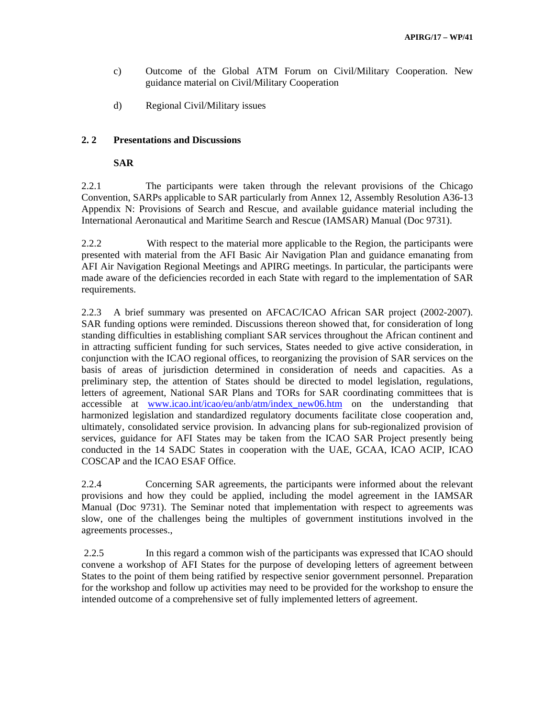- c) Outcome of the Global ATM Forum on Civil/Military Cooperation. New guidance material on Civil/Military Cooperation
- d) Regional Civil/Military issues

### **2. 2 Presentations and Discussions**

#### **SAR**

2.2.1 The participants were taken through the relevant provisions of the Chicago Convention, SARPs applicable to SAR particularly from Annex 12, Assembly Resolution A36-13 Appendix N: Provisions of Search and Rescue, and available guidance material including the International Aeronautical and Maritime Search and Rescue (IAMSAR) Manual (Doc 9731).

2.2.2 With respect to the material more applicable to the Region, the participants were presented with material from the AFI Basic Air Navigation Plan and guidance emanating from AFI Air Navigation Regional Meetings and APIRG meetings. In particular, the participants were made aware of the deficiencies recorded in each State with regard to the implementation of SAR requirements.

2.2.3 A brief summary was presented on AFCAC/ICAO African SAR project (2002-2007). SAR funding options were reminded. Discussions thereon showed that, for consideration of long standing difficulties in establishing compliant SAR services throughout the African continent and in attracting sufficient funding for such services, States needed to give active consideration, in conjunction with the ICAO regional offices, to reorganizing the provision of SAR services on the basis of areas of jurisdiction determined in consideration of needs and capacities. As a preliminary step, the attention of States should be directed to model legislation, regulations, letters of agreement, National SAR Plans and TORs for SAR coordinating committees that is accessible at www.icao.int/icao/eu/anb/atm/index\_new06.htm on the understanding that harmonized legislation and standardized regulatory documents facilitate close cooperation and, ultimately, consolidated service provision. In advancing plans for sub-regionalized provision of services, guidance for AFI States may be taken from the ICAO SAR Project presently being conducted in the 14 SADC States in cooperation with the UAE, GCAA, ICAO ACIP, ICAO COSCAP and the ICAO ESAF Office.

2.2.4 Concerning SAR agreements, the participants were informed about the relevant provisions and how they could be applied, including the model agreement in the IAMSAR Manual (Doc 9731). The Seminar noted that implementation with respect to agreements was slow, one of the challenges being the multiples of government institutions involved in the agreements processes.,

 2.2.5 In this regard a common wish of the participants was expressed that ICAO should convene a workshop of AFI States for the purpose of developing letters of agreement between States to the point of them being ratified by respective senior government personnel. Preparation for the workshop and follow up activities may need to be provided for the workshop to ensure the intended outcome of a comprehensive set of fully implemented letters of agreement.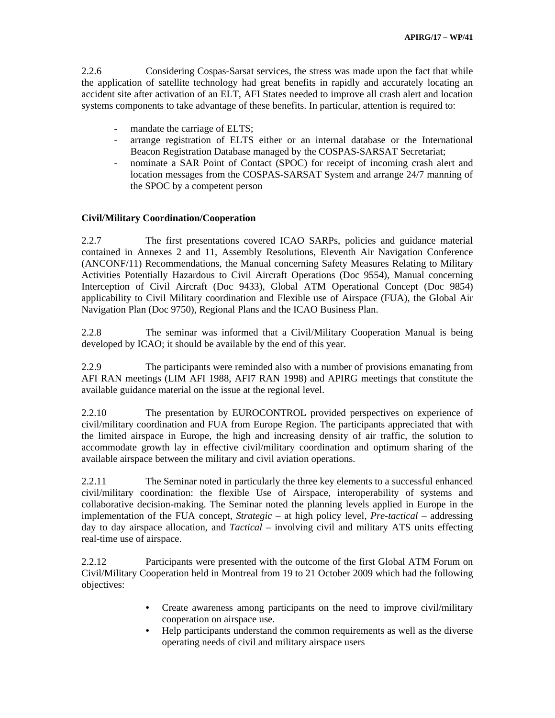2.2.6 Considering Cospas-Sarsat services, the stress was made upon the fact that while the application of satellite technology had great benefits in rapidly and accurately locating an accident site after activation of an ELT, AFI States needed to improve all crash alert and location systems components to take advantage of these benefits. In particular, attention is required to:

- mandate the carriage of ELTS;
- arrange registration of ELTS either or an internal database or the International Beacon Registration Database managed by the COSPAS-SARSAT Secretariat;
- nominate a SAR Point of Contact (SPOC) for receipt of incoming crash alert and location messages from the COSPAS-SARSAT System and arrange 24/7 manning of the SPOC by a competent person

#### **Civil/Military Coordination/Cooperation**

2.2.7 The first presentations covered ICAO SARPs, policies and guidance material contained in Annexes 2 and 11, Assembly Resolutions, Eleventh Air Navigation Conference (ANCONF/11) Recommendations, the Manual concerning Safety Measures Relating to Military Activities Potentially Hazardous to Civil Aircraft Operations (Doc 9554), Manual concerning Interception of Civil Aircraft (Doc 9433), Global ATM Operational Concept (Doc 9854) applicability to Civil Military coordination and Flexible use of Airspace (FUA), the Global Air Navigation Plan (Doc 9750), Regional Plans and the ICAO Business Plan.

2.2.8 The seminar was informed that a Civil/Military Cooperation Manual is being developed by ICAO; it should be available by the end of this year.

2.2.9 The participants were reminded also with a number of provisions emanating from AFI RAN meetings (LIM AFI 1988, AFI7 RAN 1998) and APIRG meetings that constitute the available guidance material on the issue at the regional level.

2.2.10 The presentation by EUROCONTROL provided perspectives on experience of civil/military coordination and FUA from Europe Region. The participants appreciated that with the limited airspace in Europe, the high and increasing density of air traffic, the solution to accommodate growth lay in effective civil/military coordination and optimum sharing of the available airspace between the military and civil aviation operations.

2.2.11 The Seminar noted in particularly the three key elements to a successful enhanced civil/military coordination: the flexible Use of Airspace, interoperability of systems and collaborative decision-making. The Seminar noted the planning levels applied in Europe in the implementation of the FUA concept, *Strategic* – at high policy level, *Pre-tactical* – addressing day to day airspace allocation, and *Tactical* – involving civil and military ATS units effecting real-time use of airspace.

2.2.12 Participants were presented with the outcome of the first Global ATM Forum on Civil/Military Cooperation held in Montreal from 19 to 21 October 2009 which had the following objectives:

- Create awareness among participants on the need to improve civil/military cooperation on airspace use.
- Help participants understand the common requirements as well as the diverse operating needs of civil and military airspace users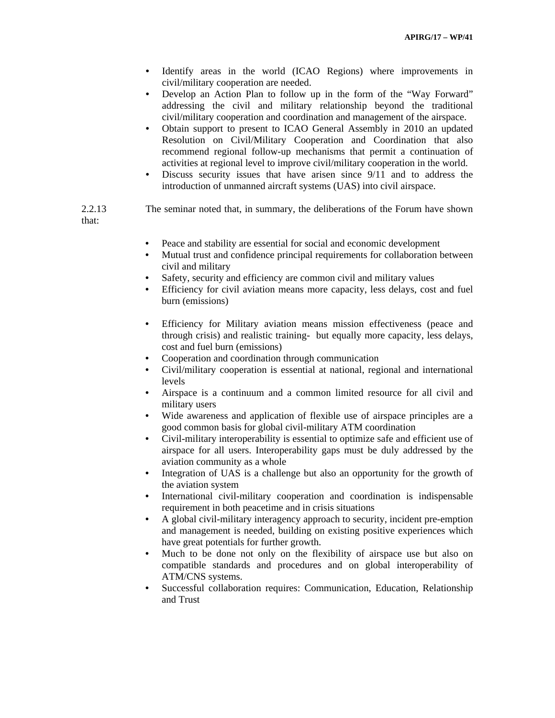- Identify areas in the world (ICAO Regions) where improvements in civil/military cooperation are needed.
- Develop an Action Plan to follow up in the form of the "Way Forward" addressing the civil and military relationship beyond the traditional civil/military cooperation and coordination and management of the airspace.
- Obtain support to present to ICAO General Assembly in 2010 an updated Resolution on Civil/Military Cooperation and Coordination that also recommend regional follow-up mechanisms that permit a continuation of activities at regional level to improve civil/military cooperation in the world.
- Discuss security issues that have arisen since 9/11 and to address the introduction of unmanned aircraft systems (UAS) into civil airspace.

2.2.13 The seminar noted that, in summary, the deliberations of the Forum have shown that:

- Peace and stability are essential for social and economic development
- Mutual trust and confidence principal requirements for collaboration between civil and military
- Safety, security and efficiency are common civil and military values
- Efficiency for civil aviation means more capacity, less delays, cost and fuel burn (emissions)
- Efficiency for Military aviation means mission effectiveness (peace and through crisis) and realistic training- but equally more capacity, less delays, cost and fuel burn (emissions)
- Cooperation and coordination through communication
- Civil/military cooperation is essential at national, regional and international levels
- Airspace is a continuum and a common limited resource for all civil and military users
- Wide awareness and application of flexible use of airspace principles are a good common basis for global civil-military ATM coordination
- Civil-military interoperability is essential to optimize safe and efficient use of airspace for all users. Interoperability gaps must be duly addressed by the aviation community as a whole
- Integration of UAS is a challenge but also an opportunity for the growth of the aviation system
- International civil-military cooperation and coordination is indispensable requirement in both peacetime and in crisis situations
- A global civil-military interagency approach to security, incident pre-emption and management is needed, building on existing positive experiences which have great potentials for further growth.
- Much to be done not only on the flexibility of airspace use but also on compatible standards and procedures and on global interoperability of ATM/CNS systems.
- Successful collaboration requires: Communication, Education, Relationship and Trust